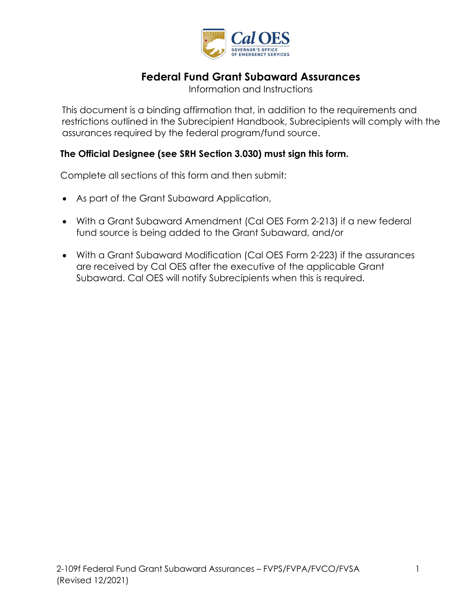

# **Federal Fund Grant Subaward Assurances**

Information and Instructions

 This document is a binding affirmation that, in addition to the requirements and restrictions outlined in the Subrecipient Handbook, Subrecipients will comply with the assurances required by the federal program/fund source.

### **The Official Designee (see SRH Section 3.030) must sign this form.**

Complete all sections of this form and then submit:

- As part of the Grant Subaward Application,
- With a Grant Subaward Amendment (Cal OES Form 2-213) if a new federal fund source is being added to the Grant Subaward, and/or
- With a Grant Subaward Modification (Cal OES Form 2-223) if the assurances are received by Cal OES after the executive of the applicable Grant Subaward. Cal OES will notify Subrecipients when this is required.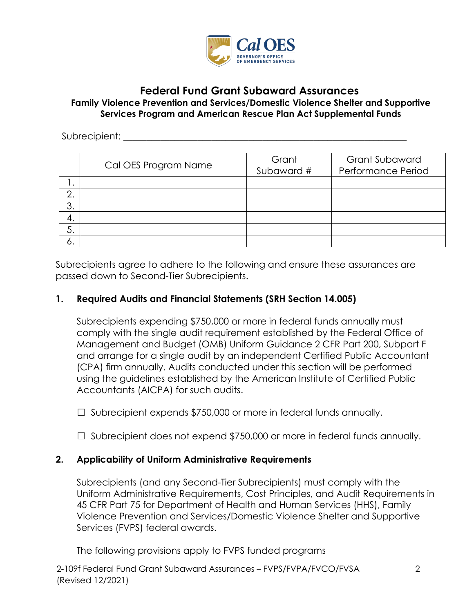

## **Federal Fund Grant Subaward Assurances**

#### **Family Violence Prevention and Services/Domestic Violence Shelter and Supportive Services Program and American Rescue Plan Act Supplemental Funds**

#### Subrecipient:

|         | Cal OES Program Name | Grant<br>Subaward # | <b>Grant Subaward</b><br>Performance Period |
|---------|----------------------|---------------------|---------------------------------------------|
|         |                      |                     |                                             |
| ⌒<br>L. |                      |                     |                                             |
| 3.      |                      |                     |                                             |
| 4.      |                      |                     |                                             |
| 5.      |                      |                     |                                             |
| о.      |                      |                     |                                             |

Subrecipients agree to adhere to the following and ensure these assurances are passed down to Second-Tier Subrecipients.

### **1. Required Audits and Financial Statements (SRH Section 14.005)**

 Subrecipients expending \$750,000 or more in federal funds annually must comply with the single audit requirement established by the Federal Office of Management and Budget (OMB) Uniform Guidance 2 CFR Part 200, Subpart F and arrange for a single audit by an independent Certified Public Accountant (CPA) firm annually. Audits conducted under this section will be performed using the guidelines established by the American Institute of Certified Public Accountants (AICPA) for such audits.

□ Subrecipient expends \$750,000 or more in federal funds annually.

□ Subrecipient does not expend \$750,000 or more in federal funds annually.

### **2. Applicability of Uniform Administrative Requirements**

Subrecipients (and any Second-Tier Subrecipients) must comply with the Uniform Administrative Requirements, Cost Principles, and Audit Requirements in 45 CFR Part 75 for Department of Health and Human Services (HHS), Family Violence Prevention and Services/Domestic Violence Shelter and Supportive Services (FVPS) federal awards.

The following provisions apply to FVPS funded programs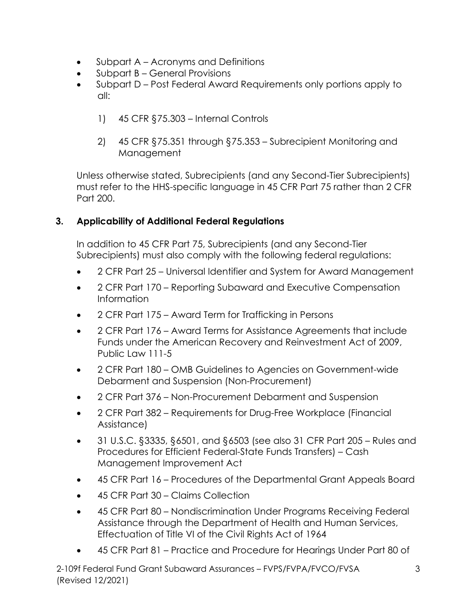- $\bullet$ • Subpart A – Acronyms and Definitions
- Subpart B General Provisions
- $all:$ • Subpart D – Post Federal Award Requirements only portions apply to
	- all: 1) 45 CFR §75.303 Internal Controls
	- 2) 45 CFR §75.351 through §75.353 Subrecipient Monitoring and Management

Unless otherwise stated, Subrecipients (and any Second-Tier Subrecipients) must refer to the HHS-specific language in 45 CFR Part 75 rather than 2 CFR Part 200.

# **3. Applicability of Additional Federal Regulations**

In addition to 45 CFR Part 75, Subrecipients (and any Second-Tier Subrecipients) must also comply with the following federal regulations:

- 2 CFR Part 25 Universal Identifier and System for Award Management
- 2 CFR Part 170 Reporting Subaward and Executive Compensation Information
- 2 CFR Part 175 Award Term for Trafficking in Persons
- 2 CFR Part 176 Award Terms for Assistance Agreements that include Funds under the American Recovery and Reinvestment Act of 2009, Public Law 111-5
- 2 CFR Part 180 OMB Guidelines to Agencies on Government-wide Debarment and Suspension (Non-Procurement)
- 2 CFR Part 376 Non-Procurement Debarment and Suspension
- 2 CFR Part 382 Requirements for Drug-Free Workplace (Financial Assistance)
- 31 U.S.C. §3335, §6501, and §6503 (see also 31 CFR Part 205 Rules and Procedures for Efficient Federal-State Funds Transfers) – Cash Management Improvement Act
- 45 CFR Part 16 Procedures of the Departmental Grant Appeals Board
- 45 CFR Part 30 Claims Collection
- 45 CFR Part 80 Nondiscrimination Under Programs Receiving Federal Assistance through the Department of Health and Human Services, Effectuation of Title VI of the Civil Rights Act of 1964
- 45 CFR Part 81 Practice and Procedure for Hearings Under Part 80 of

 2-109f Federal Fund Grant Subaward Assurances – FVPS/FVPA/FVCO/FVSA 3 (Revised 12/2021)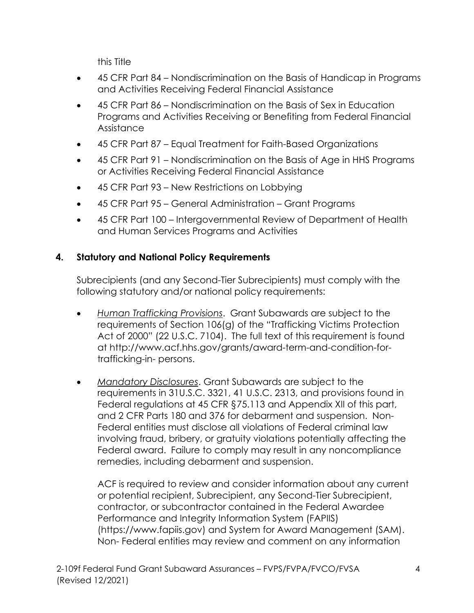this Title

- 45 CFR Part 84 Nondiscrimination on the Basis of Handicap in Programs and Activities Receiving Federal Financial Assistance
- 45 CFR Part 86 Nondiscrimination on the Basis of Sex in Education Programs and Activities Receiving or Benefiting from Federal Financial **Assistance**
- 45 CFR Part 87 Equal Treatment for Faith-Based Organizations
- 45 CFR Part 91 Nondiscrimination on the Basis of Age in HHS Programs or Activities Receiving Federal Financial Assistance
- 45 CFR Part 93 New Restrictions on Lobbying
- 45 CFR Part 95 General Administration Grant Programs
- 45 CFR Part 100 Intergovernmental Review of Department of Health and Human Services Programs and Activities

## **4. Statutory and National Policy Requirements**

Subrecipients (and any Second-Tier Subrecipients) must comply with the following statutory and/or national policy requirements:

- requirements of Section 106(g) of the "Trafficking Victims Protection Act of 2000" (22 U.S.C. 7104). The full text of this requirement is found [trafficking-in- persons.](http://www.acf.hhs.gov/grants/award-term-and-condition-for-trafficking-in-persons)  • *Human Trafficking Provisions*. Grant Subawards are subject to the at [http://www.acf.hhs.gov/grants/award-term-and-condition-for-](http://www.acf.hhs.gov/grants/award-term-and-condition-for-trafficking-in-persons)
- • *Mandatory Disclosures*. Grant Subawards are subject to the Federal regulations at 45 CFR §75.113 and Appendix XII of this part, Federal award. Failure to comply may result in any noncompliance requirements in 31U.S.C. 3321, 41 U.S.C. 2313, and provisions found in and 2 CFR Parts 180 and 376 for debarment and suspension. Non-Federal entities must disclose all violations of Federal criminal law involving fraud, bribery, or gratuity violations potentially affecting the remedies, including debarment and suspension.

 ACF is required to review and consider information about any current Performance and Integrity Information System (FAPIIS) Non- Federal entities may review and comment on any information or potential recipient, Subrecipient, any Second-Tier Subrecipient, contractor, or subcontractor contained in the Federal Awardee [\(](https://www.fapiis.gov/)[https://www.fapiis.go](https://www.fapiis.gov)[v\)](https://www.fapiis.gov/) and System for Award Management (SAM).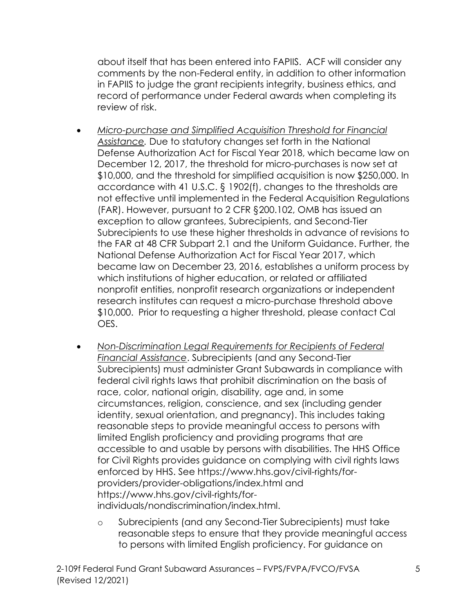about itself that has been entered into FAPIIS. ACF will consider any in FAPIIS to judge the grant recipients integrity, business ethics, and record of performance under Federal awards when completing its review of risk. comments by the non-Federal entity, in addition to other information

- *Assistance.* Due to statutory changes set forth in the National Defense Authorization Act for Fiscal Year 2018, which became law on December 12, 2017, the threshold for micro-purchases is now set at accordance with 41 U.S.C. § 1902(f), changes to the thresholds are not effective until implemented in the Federal Acquisition Regulations Subrecipients to use these higher thresholds in advance of revisions to became law on December 23, 2016, establishes a uniform process by which institutions of higher education, or related or affiliated research institutes can request a micro-purchase threshold above \$10,000. Prior to requesting a higher threshold, please contact Cal • *Micro-purchase and Simplified Acquisition Threshold for Financial*  \$10,000, and the threshold for simplified acquisition is now \$250,000. In (FAR). However, pursuant to [2 CFR §200.102,](https://www.ecfr.gov/cgi-bin/text-idx?SID=8e7878de8bb27595ede935fd43a89ff4&mc=true&node=se2.1.200_1102&rgn=div8) OMB has issued an exception to allow grantees, Subrecipients, and Second-Tier the FAR at 48 CFR Subpart 2.1 and the Uniform Guidance. Further, the National Defense Authorization Act for Fiscal Year 2017, which nonprofit entities, nonprofit research organizations or independent OES.
- federal civil rights laws that prohibit discrimination on the basis of limited English proficiency and providing programs that are • *Non-Discrimination Legal Requirements for Recipients of Federal Financial Assistance*. Subrecipients (and any Second-Tier Subrecipients) must administer Grant Subawards in compliance with race, color, national origin, disability, age and, in some circumstances, religion, conscience, and sex (including gender identity, sexual orientation, and pregnancy). This includes taking reasonable steps to provide meaningful access to persons with accessible to and usable by persons with disabilities. The HHS Office for Civil Rights provides guidance on complying with civil rights laws enforced by HHS. See[https://www.hhs.gov/civil-rights/fo](https://www.hhs.gov/civil-rights/for)[r](https://www.hhs.gov/civil-rights/for-providers/provider-obligations/index.html)[providers/provider-obligations/index.html](https://www.hhs.gov/civil-rights/for-providers/provider-obligations/index.html) and [https://www.hhs.gov/civil-rights/for](https://www.hhs.gov/civil-rights/for-individuals/nondiscrimination/index.html)[individuals/nondiscrimination/index.html.](https://www.hhs.gov/civil-rights/for-individuals/nondiscrimination/index.html)
	- o Subrecipients (and any Second-Tier Subrecipients) must take reasonable steps to ensure that they provide meaningful access to persons with limited English proficiency. For guidance on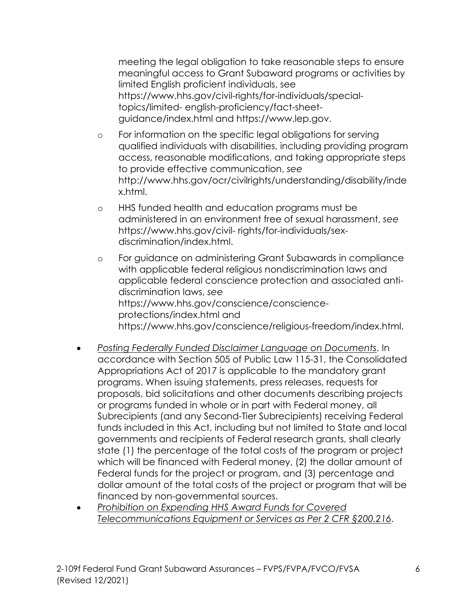meeting the legal obligation to take reasonable steps to ensure meaningful access to Grant Subaward programs or activities by limited English proficient individuals, see [https://www.hhs.gov/civil-rights/for-individuals/special](https://www.hhs.gov/civil-rights/for-individuals/special-topics/limited-english-proficiency/fact-sheet-guidance/index.html)[topics/limited-](https://www.hhs.gov/civil-rights/for-individuals/special-topics/limited-english-proficiency/fact-sheet-guidance/index.html) [english-proficiency/fact-sheet](https://www.hhs.gov/civil-rights/for-individuals/special-topics/limited-english-proficiency/fact-sheet-guidance/index.html)[guidance/index.html a](https://www.hhs.gov/civil-rights/for-individuals/special-topics/limited-english-proficiency/fact-sheet-guidance/index.html)nd [https://www.lep.gov.](https://www.lep.gov/)

- o For information on the specific legal obligations for serving qualified individuals with disabilities, including providing program access, reasonable modifications, and taking appropriate steps to provide effective communication, *see*  [http://www.hhs.gov/ocr/civilrights/understanding/disability/inde](http://www.hhs.gov/ocr/civilrights/understanding/disability/index.html)  [x.html.](http://www.hhs.gov/ocr/civilrights/understanding/disability/index.html)
- o HHS funded health and education programs must be administered in an environment free of sexual harassment, *see*  [https://www.hhs.gov/civil-](https://www.hhs.gov/civil-rights/for-individuals/sex-discrimination/index.html) [rights/for-individuals/sex](https://www.hhs.gov/civil-rights/for-individuals/sex-discrimination/index.html)[discrimination/index.html.](https://www.hhs.gov/civil-rights/for-individuals/sex-discrimination/index.html)
- o For guidance on administering Grant Subawards in compliance with applicable federal religious nondiscrimination laws and applicable federal conscience protection and associated antidiscrimination laws, *see*  [https://www.hhs.gov/conscience/conscience](https://www.hhs.gov/conscience/conscience-protections/index.html)[protections/index.html a](https://www.hhs.gov/conscience/conscience-protections/index.html)nd [https://www.hhs.gov/conscience/religious-freedom/index.html.](https://www.hhs.gov/conscience/religious-freedom/index.html)
- • *Posting Federally Funded Disclaimer Language on Documents*. In accordance with Section 505 of Public Law 115-31, the Consolidated Appropriations Act of 2017 is applicable to the mandatory grant proposals, bid solicitations and other documents describing projects or programs funded in whole or in part with Federal money, all state (1) the percentage of the total costs of the program or project which will be financed with Federal money, (2) the dollar amount of Federal funds for the project or program, and (3) percentage and dollar amount of the total costs of the project or program that will be programs. When issuing statements, press releases, requests for Subrecipients (and any Second-Tier Subrecipients) receiving Federal funds included in this Act, including but not limited to State and local governments and recipients of Federal research grants, shall clearly financed by non-governmental sources.
- *Telecommunications Equipment or Services as Per 2 CFR §200.216*. 2-109f Federal Fund Grant Subaward Assurances FVPS/FVPA/FVCO/FVSA 6 Telecommunications Equipment or Services as Per 2 CFR §200.216. • *Prohibition on Expending HHS Award Funds for Covered*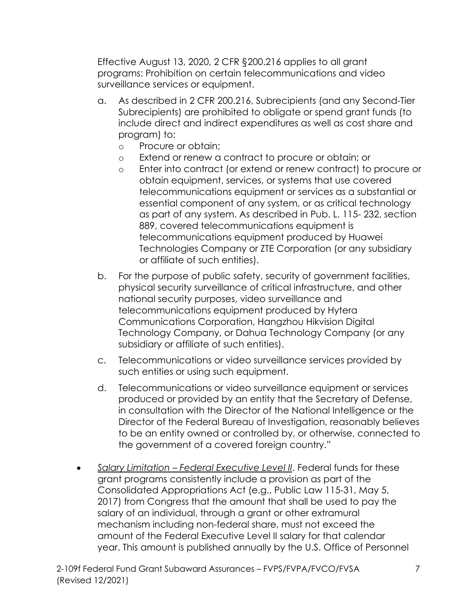Effective August 13, 2020, 2 CFR §200.216 applies to all grant programs: Prohibition on certain telecommunications and video surveillance services or equipment.

- a. As described in 2 CFR 200.216, Subrecipients (and any Second-Tier Subrecipients) are prohibited to obligate or spend grant funds (to include direct and indirect expenditures as well as cost share and program) to:
	- o Procure or obtain;
	- o Extend or renew a contract to procure or obtain; or
	- o Enter into contract (or extend or renew contract) to procure or obtain equipment, services, or systems that use covered telecommunications equipment or services as a substantial or essential component of any system, or as critical technology as part of any system. As described in Pub. L. 115- 232, section 889, covered telecommunications equipment is telecommunications equipment produced by Huawei Technologies Company or ZTE Corporation (or any subsidiary or affiliate of such entities).
- b. For the purpose of public safety, security of government facilities, physical security surveillance of critical infrastructure, and other national security purposes, video surveillance and telecommunications equipment produced by Hytera Communications Corporation, Hangzhou Hikvision Digital Technology Company, or Dahua Technology Company (or any subsidiary or affiliate of such entities).
- c. Telecommunications or video surveillance services provided by such entities or using such equipment.
- d. Telecommunications or video surveillance equipment or services produced or provided by an entity that the Secretary of Defense, in consultation with the Director of the National Intelligence or the Director of the Federal Bureau of Investigation, reasonably believes to be an entity owned or controlled by, or otherwise, connected to the government of a covered foreign country."
- *Salary Limitation Federal Executive Level II*. Federal funds for these grant programs consistently include a provision as part of the Consolidated Appropriations Act (e.g., Public Law 115-31, May 5, 2017) from Congress that the amount that shall be used to pay the salary of an individual, through a grant or other extramural mechanism including non-federal share, must not exceed the amount of the Federal Executive Level II salary for that calendar year. This amount is published annually by the U.S. Office of Personnel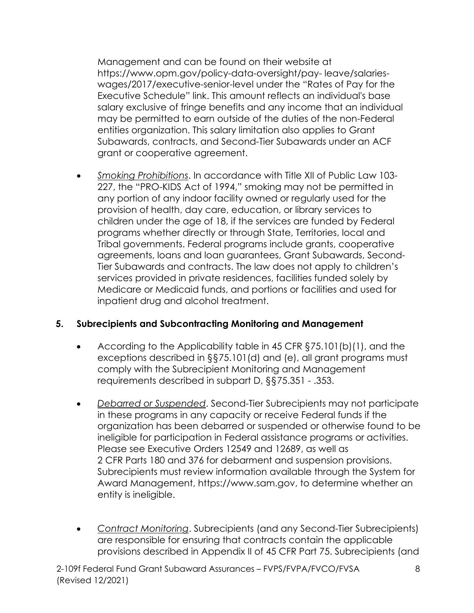Management and can be found on their website at [https://www.opm.gov/policy-data-oversight/pay-](https://www.opm.gov/policy-data-oversight/pay-leave/salaries-wages/2017/executive-senior-level) [leave/salaries](https://www.opm.gov/policy-data-oversight/pay-leave/salaries-wages/2017/executive-senior-level)[wages/2017/executive-senior-level u](https://www.opm.gov/policy-data-oversight/pay-leave/salaries-wages/2017/executive-senior-level)nder the "Rates of Pay for the Executive Schedule" link. This amount reflects an individual's base salary exclusive of fringe benefits and any income that an individual may be permitted to earn outside of the duties of the non-Federal entities organization. This salary limitation also applies to Grant Subawards, contracts, and Second-Tier Subawards under an ACF grant or cooperative agreement.

• *Smoking Prohibitions*. In accordance with Title XII of Public Law 103- 227, the "PRO-KIDS Act of 1994," smoking may not be permitted in any portion of any indoor facility owned or regularly used for the provision of health, day care, education, or library services to children under the age of 18, if the services are funded by Federal programs whether directly or through State, Territories, local and Tribal governments. Federal programs include grants, cooperative agreements, loans and loan guarantees, Grant Subawards, Second-Tier Subawards and contracts. The law does not apply to children's services provided in private residences, facilities funded solely by Medicare or Medicaid funds, and portions or facilities and used for inpatient drug and alcohol treatment.

## **5. Subrecipients and Subcontracting Monitoring and Management**

- requirements described in subpart D, §§75.351 .353. • According to the Applicability table in 45 CFR §75.101(b)(1), and the exceptions described in §§75.101(d) and (e), all grant programs must comply with the Subrecipient Monitoring and Management
- ineligible for participation in Federal assistance programs or activities. • *Debarred or Suspended*. Second-Tier Subrecipients may not participate in these programs in any capacity or receive Federal funds if the organization has been debarred or suspended or otherwise found to be Please see Executive Orders 12549 and 12689, as well as 2 CFR Parts 180 and 376 for debarment and suspension provisions. Subrecipients must review information available through the System for Award Management, [https://www.sam.gov,](https://www.sam.gov/) to determine whether an entity is ineligible.
- *Contract Monitoring*. Subrecipients (and any Second-Tier Subrecipients) are responsible for ensuring that contracts contain the applicable provisions described in Appendix II of 45 CFR Part 75. Subrecipients (and